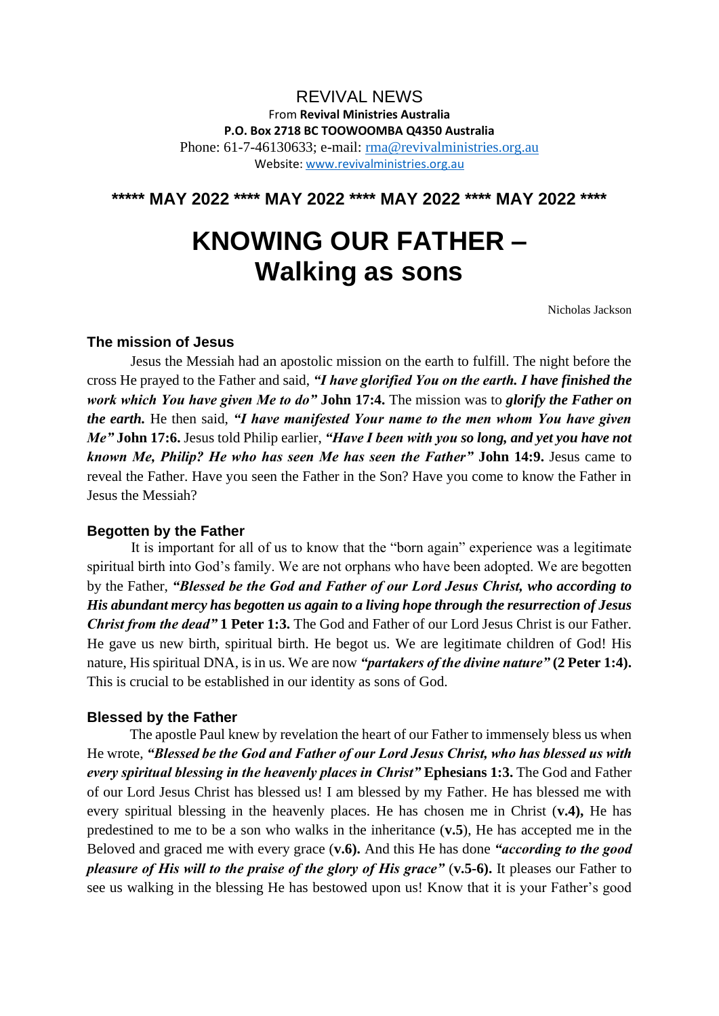# REVIVAL NEWS From **Revival Ministries Australia P.O. Box 2718 BC TOOWOOMBA Q4350 Australia** Phone: 61-7-46130633; e-mail: [rma@revivalministries.org.au](mailto:rma@revivalministries.org.au) Website: [www.revivalministries.org.au](https://nam12.safelinks.protection.outlook.com/?url=http%3A%2F%2Fwww.revivalministries.org.au%2F&data=05%7C01%7C%7C19f3d4b0452c4fa0ff2208da42b00693%7C84df9e7fe9f640afb435aaaaaaaaaaaa%7C1%7C0%7C637895621065345290%7CUnknown%7CTWFpbGZsb3d8eyJWIjoiMC4wLjAwMDAiLCJQIjoiV2luMzIiLCJBTiI6Ik1haWwiLCJXVCI6Mn0%3D%7C3000%7C%7C%7C&sdata=Q%2FwORxstpyaGagB0mifOPZ24FXfKZV4qhijMHlRpzOU%3D&reserved=0)

**\*\*\*\*\* MAY 2022 \*\*\*\* MAY 2022 \*\*\*\* MAY 2022 \*\*\*\* MAY 2022 \*\*\*\***

# **KNOWING OUR FATHER – Walking as sons**

Nicholas Jackson

## **The mission of Jesus**

 Jesus the Messiah had an apostolic mission on the earth to fulfill. The night before the cross He prayed to the Father and said, *"I have glorified You on the earth. I have finished the work which You have given Me to do"* **John 17:4.** The mission was to *glorify the Father on the earth.* He then said, *"I have manifested Your name to the men whom You have given Me"* **John 17:6.** Jesus told Philip earlier, *"Have I been with you so long, and yet you have not known Me, Philip? He who has seen Me has seen the Father"* **John 14:9.** Jesus came to reveal the Father. Have you seen the Father in the Son? Have you come to know the Father in Jesus the Messiah?

#### **Begotten by the Father**

 It is important for all of us to know that the "born again" experience was a legitimate spiritual birth into God's family. We are not orphans who have been adopted. We are begotten by the Father, *"Blessed be the God and Father of our Lord Jesus Christ, who according to His abundant mercy has begotten us again to a living hope through the resurrection of Jesus Christ from the dead"* **1 Peter 1:3.** The God and Father of our Lord Jesus Christ is our Father. He gave us new birth, spiritual birth. He begot us. We are legitimate children of God! His nature, His spiritual DNA, is in us. We are now *"partakers of the divine nature"* **(2 Peter 1:4).** This is crucial to be established in our identity as sons of God.

#### **Blessed by the Father**

 The apostle Paul knew by revelation the heart of our Father to immensely bless us when He wrote, *"Blessed be the God and Father of our Lord Jesus Christ, who has blessed us with every spiritual blessing in the heavenly places in Christ"* **Ephesians 1:3.** The God and Father of our Lord Jesus Christ has blessed us! I am blessed by my Father. He has blessed me with every spiritual blessing in the heavenly places. He has chosen me in Christ (**v.4),** He has predestined to me to be a son who walks in the inheritance (**v.5**), He has accepted me in the Beloved and graced me with every grace (**v.6).** And this He has done *"according to the good pleasure of His will to the praise of the glory of His grace"* (**v.5-6).** It pleases our Father to see us walking in the blessing He has bestowed upon us! Know that it is your Father's good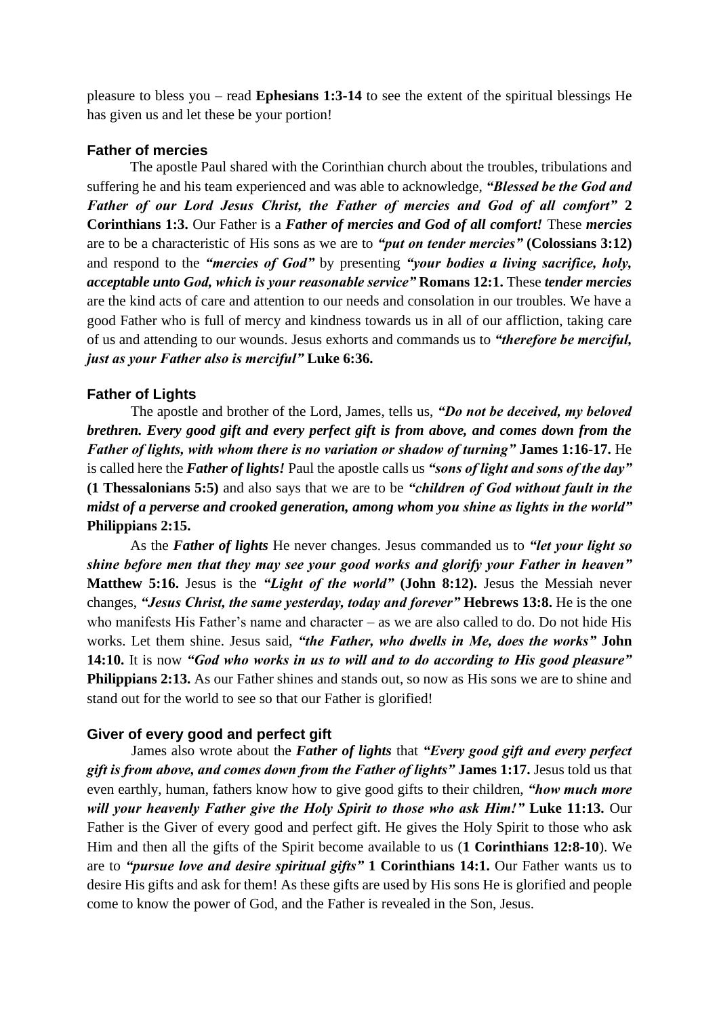pleasure to bless you – read **Ephesians 1:3-14** to see the extent of the spiritual blessings He has given us and let these be your portion!

### **Father of mercies**

The apostle Paul shared with the Corinthian church about the troubles, tribulations and suffering he and his team experienced and was able to acknowledge, *"Blessed be the God and Father of our Lord Jesus Christ, the Father of mercies and God of all comfort"* **2 Corinthians 1:3.** Our Father is a *Father of mercies and God of all comfort!* These *mercies*  are to be a characteristic of His sons as we are to *"put on tender mercies"* **(Colossians 3:12)**  and respond to the *"mercies of God"* by presenting *"your bodies a living sacrifice, holy, acceptable unto God, which is your reasonable service"* **Romans 12:1.** These *tender mercies*  are the kind acts of care and attention to our needs and consolation in our troubles. We have a good Father who is full of mercy and kindness towards us in all of our affliction, taking care of us and attending to our wounds. Jesus exhorts and commands us to *"therefore be merciful, just as your Father also is merciful"* **Luke 6:36.**

#### **Father of Lights**

 The apostle and brother of the Lord, James, tells us, *"Do not be deceived, my beloved brethren. Every good gift and every perfect gift is from above, and comes down from the Father of lights, with whom there is no variation or shadow of turning"* **James 1:16-17.** He is called here the *Father of lights!* Paul the apostle calls us *"sons of light and sons of the day"*  **(1 Thessalonians 5:5)** and also says that we are to be *"children of God without fault in the midst of a perverse and crooked generation, among whom you shine as lights in the world"*  **Philippians 2:15.** 

As the *Father of lights* He never changes. Jesus commanded us to *"let your light so shine before men that they may see your good works and glorify your Father in heaven"*  **Matthew 5:16.** Jesus is the *"Light of the world"* **(John 8:12).** Jesus the Messiah never changes, *"Jesus Christ, the same yesterday, today and forever"* **Hebrews 13:8.** He is the one who manifests His Father's name and character – as we are also called to do. Do not hide His works. Let them shine. Jesus said, *"the Father, who dwells in Me, does the works"* **John 14:10.** It is now *"God who works in us to will and to do according to His good pleasure"*  **Philippians 2:13.** As our Father shines and stands out, so now as His sons we are to shine and stand out for the world to see so that our Father is glorified!

#### **Giver of every good and perfect gift**

 James also wrote about the *Father of lights* that *"Every good gift and every perfect gift is from above, and comes down from the Father of lights"* **James 1:17.** Jesus told us that even earthly, human, fathers know how to give good gifts to their children, *"how much more will your heavenly Father give the Holy Spirit to those who ask Him!"* **Luke 11:13.** Our Father is the Giver of every good and perfect gift. He gives the Holy Spirit to those who ask Him and then all the gifts of the Spirit become available to us (**1 Corinthians 12:8-10**). We are to *"pursue love and desire spiritual gifts"* **1 Corinthians 14:1.** Our Father wants us to desire His gifts and ask for them! As these gifts are used by His sons He is glorified and people come to know the power of God, and the Father is revealed in the Son, Jesus.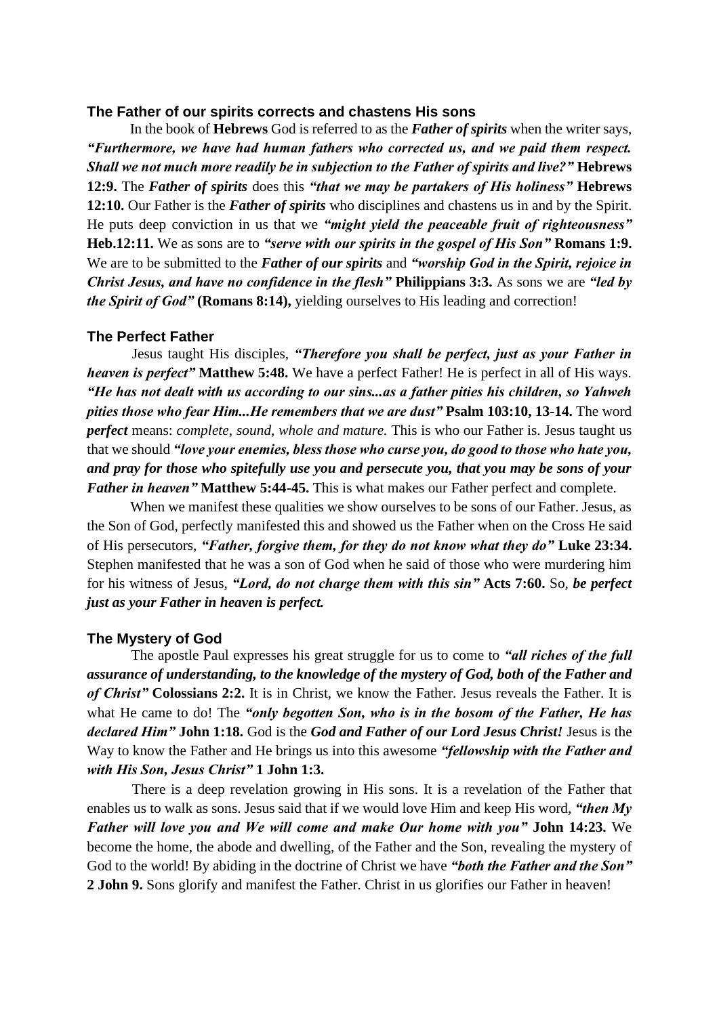#### **The Father of our spirits corrects and chastens His sons**

 In the book of **Hebrews** God is referred to as the *Father of spirits* when the writer says, *"Furthermore, we have had human fathers who corrected us, and we paid them respect. Shall we not much more readily be in subjection to the Father of spirits and live?"* **Hebrews 12:9.** The *Father of spirits* does this *"that we may be partakers of His holiness"* **Hebrews 12:10.** Our Father is the *Father of spirits* who disciplines and chastens us in and by the Spirit. He puts deep conviction in us that we *"might yield the peaceable fruit of righteousness"*  **Heb.12:11.** We as sons are to *"serve with our spirits in the gospel of His Son"* **Romans 1:9.**  We are to be submitted to the *Father of our spirits* and *"worship God in the Spirit, rejoice in Christ Jesus, and have no confidence in the flesh"* **Philippians 3:3.** As sons we are *"led by the Spirit of God"* (Romans 8:14), yielding ourselves to His leading and correction!

#### **The Perfect Father**

 Jesus taught His disciples, *"Therefore you shall be perfect, just as your Father in heaven is perfect"* **Matthew 5:48.** We have a perfect Father! He is perfect in all of His ways. *"He has not dealt with us according to our sins...as a father pities his children, so Yahweh pities those who fear Him...He remembers that we are dust"* **Psalm 103:10, 13-14.** The word *perfect* means: *complete, sound, whole and mature.* This is who our Father is. Jesus taught us that we should *"love your enemies, bless those who curse you, do good to those who hate you, and pray for those who spitefully use you and persecute you, that you may be sons of your Father in heaven"* **Matthew 5:44-45.** This is what makes our Father perfect and complete.

When we manifest these qualities we show ourselves to be sons of our Father. Jesus, as the Son of God, perfectly manifested this and showed us the Father when on the Cross He said of His persecutors, *"Father, forgive them, for they do not know what they do"* **Luke 23:34.**  Stephen manifested that he was a son of God when he said of those who were murdering him for his witness of Jesus, *"Lord, do not charge them with this sin"* **Acts 7:60.** So, *be perfect just as your Father in heaven is perfect.*

#### **The Mystery of God**

 The apostle Paul expresses his great struggle for us to come to *"all riches of the full assurance of understanding, to the knowledge of the mystery of God, both of the Father and of Christ"* **Colossians 2:2.** It is in Christ, we know the Father. Jesus reveals the Father. It is what He came to do! The *"only begotten Son, who is in the bosom of the Father, He has declared Him"* **John 1:18.** God is the *God and Father of our Lord Jesus Christ!* Jesus is the Way to know the Father and He brings us into this awesome *"fellowship with the Father and with His Son, Jesus Christ"* **1 John 1:3.** 

There is a deep revelation growing in His sons. It is a revelation of the Father that enables us to walk as sons. Jesus said that if we would love Him and keep His word, *"then My Father will love you and We will come and make Our home with you"* **John 14:23.** We become the home, the abode and dwelling, of the Father and the Son, revealing the mystery of God to the world! By abiding in the doctrine of Christ we have *"both the Father and the Son"*  **2 John 9.** Sons glorify and manifest the Father. Christ in us glorifies our Father in heaven!